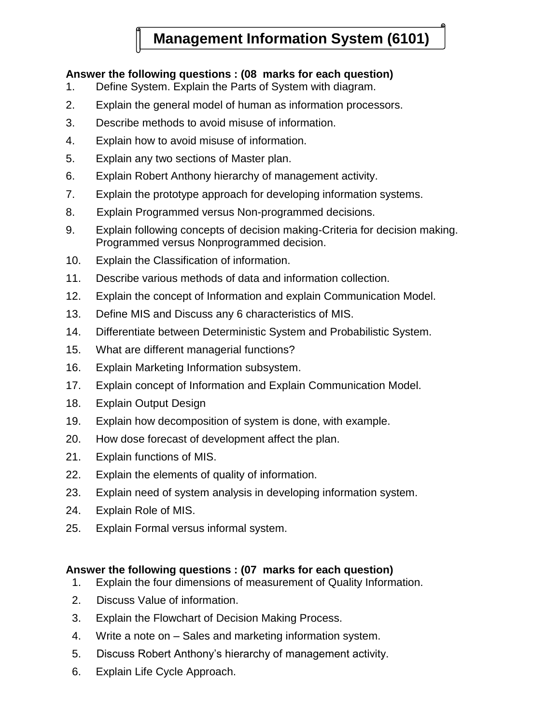## **Management Information System (6101)**

### **Answer the following questions : (08 marks for each question)**

- 1. Define System. Explain the Parts of System with diagram.
- 2. Explain the general model of human as information processors.
- 3. Describe methods to avoid misuse of information.
- 4. Explain how to avoid misuse of information.
- 5. Explain any two sections of Master plan.
- 6. Explain Robert Anthony hierarchy of management activity.
- 7. Explain the prototype approach for developing information systems.
- 8. Explain Programmed versus Non-programmed decisions.
- 9. Explain following concepts of decision making-Criteria for decision making. Programmed versus Nonprogrammed decision.
- 10. Explain the Classification of information.
- 11. Describe various methods of data and information collection.
- 12. Explain the concept of Information and explain Communication Model.
- 13. Define MIS and Discuss any 6 characteristics of MIS.
- 14. Differentiate between Deterministic System and Probabilistic System.
- 15. What are different managerial functions?
- 16. Explain Marketing Information subsystem.
- 17. Explain concept of Information and Explain Communication Model.
- 18. Explain Output Design
- 19. Explain how decomposition of system is done, with example.
- 20. How dose forecast of development affect the plan.
- 21. Explain functions of MIS.
- 22. Explain the elements of quality of information.
- 23. Explain need of system analysis in developing information system.
- 24. Explain Role of MIS.
- 25. Explain Formal versus informal system.

### **Answer the following questions : (07 marks for each question)**

- 1. Explain the four dimensions of measurement of Quality Information.
- 2. Discuss Value of information.
- 3. Explain the Flowchart of Decision Making Process.
- 4. Write a note on Sales and marketing information system.
- 5. Discuss Robert Anthony"s hierarchy of management activity.
- 6. Explain Life Cycle Approach.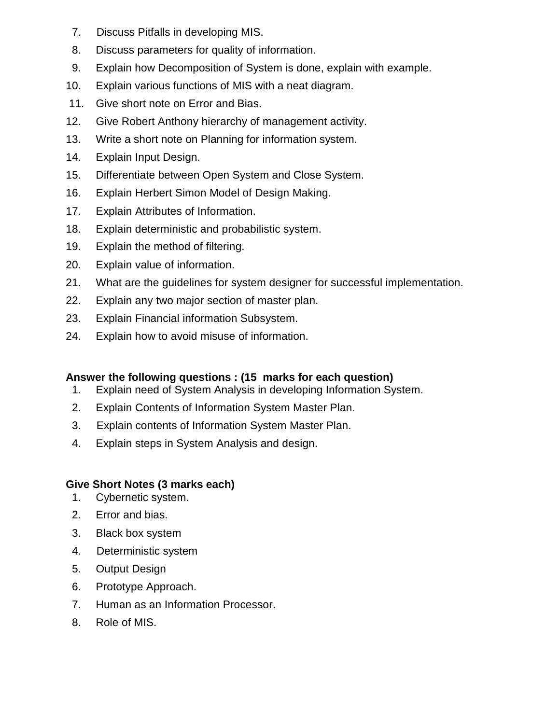- 7. Discuss Pitfalls in developing MIS.
- 8. Discuss parameters for quality of information.
- 9. Explain how Decomposition of System is done, explain with example.
- 10. Explain various functions of MIS with a neat diagram.
- 11. Give short note on Error and Bias.
- 12. Give Robert Anthony hierarchy of management activity.
- 13. Write a short note on Planning for information system.
- 14. Explain Input Design.
- 15. Differentiate between Open System and Close System.
- 16. Explain Herbert Simon Model of Design Making.
- 17. Explain Attributes of Information.
- 18. Explain deterministic and probabilistic system.
- 19. Explain the method of filtering.
- 20. Explain value of information.
- 21. What are the guidelines for system designer for successful implementation.
- 22. Explain any two major section of master plan.
- 23. Explain Financial information Subsystem.
- 24. Explain how to avoid misuse of information.

## **Answer the following questions : (15 marks for each question)**

- 1. Explain need of System Analysis in developing Information System.
- 2. Explain Contents of Information System Master Plan.
- 3. Explain contents of Information System Master Plan.
- 4. Explain steps in System Analysis and design.

## **Give Short Notes (3 marks each)**

- 1. Cybernetic system.
- 2. Error and bias.
- 3. Black box system
- 4. Deterministic system
- 5. Output Design
- 6. Prototype Approach.
- 7. Human as an Information Processor.
- 8. Role of MIS.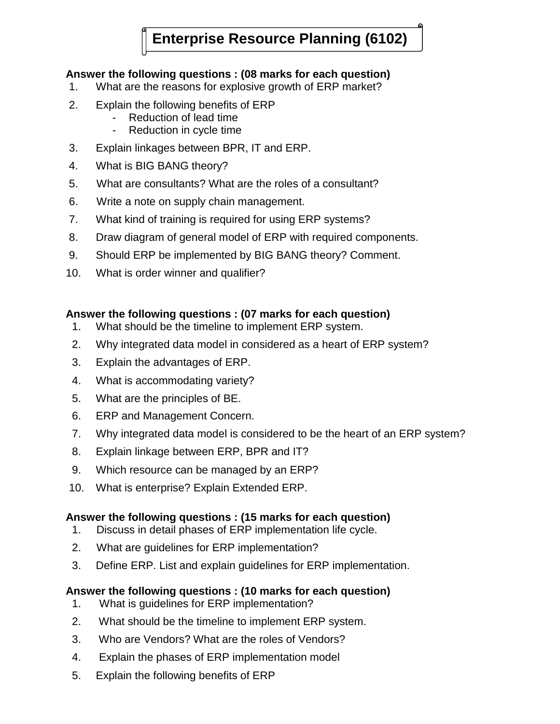# **Enterprise Resource Planning (6102)**

### **Answer the following questions : (08 marks for each question)**

- 1. What are the reasons for explosive growth of ERP market?
- 2. Explain the following benefits of ERP
	- Reduction of lead time
	- Reduction in cycle time
- 3. Explain linkages between BPR, IT and ERP.
- 4. What is BIG BANG theory?
- 5. What are consultants? What are the roles of a consultant?
- 6. Write a note on supply chain management.
- 7. What kind of training is required for using ERP systems?
- 8. Draw diagram of general model of ERP with required components.
- 9. Should ERP be implemented by BIG BANG theory? Comment.
- 10. What is order winner and qualifier?

### **Answer the following questions : (07 marks for each question)**

- 1. What should be the timeline to implement ERP system.
- 2. Why integrated data model in considered as a heart of ERP system?
- 3. Explain the advantages of ERP.
- 4. What is accommodating variety?
- 5. What are the principles of BE.
- 6. ERP and Management Concern.
- 7. Why integrated data model is considered to be the heart of an ERP system?
- 8. Explain linkage between ERP, BPR and IT?
- 9. Which resource can be managed by an ERP?
- 10. What is enterprise? Explain Extended ERP.

### **Answer the following questions : (15 marks for each question)**

- 1. Discuss in detail phases of ERP implementation life cycle.
- 2. What are guidelines for ERP implementation?
- 3. Define ERP. List and explain guidelines for ERP implementation.

### **Answer the following questions : (10 marks for each question)**

- 1. What is guidelines for ERP implementation?
- 2. What should be the timeline to implement ERP system.
- 3. Who are Vendors? What are the roles of Vendors?
- 4. Explain the phases of ERP implementation model
- 5. Explain the following benefits of ERP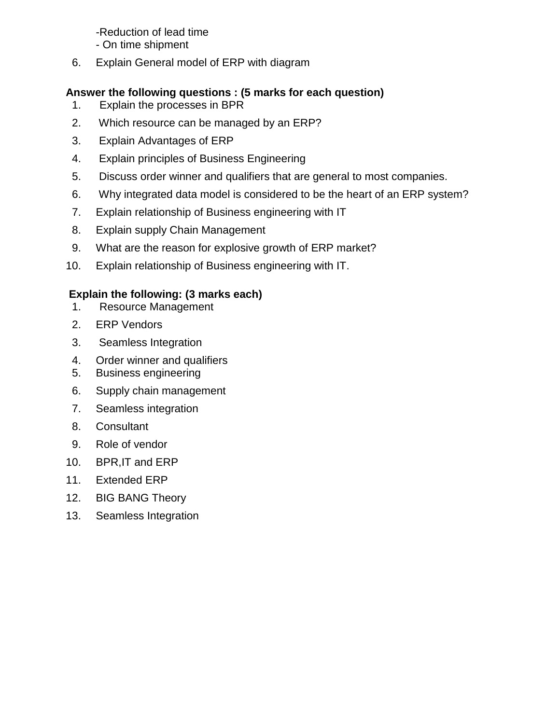### -Reduction of lead time

- On time shipment
- 6. Explain General model of ERP with diagram

### **Answer the following questions : (5 marks for each question)**

- 1. Explain the processes in BPR
- 2. Which resource can be managed by an ERP?
- 3. Explain Advantages of ERP
- 4. Explain principles of Business Engineering
- 5. Discuss order winner and qualifiers that are general to most companies.
- 6. Why integrated data model is considered to be the heart of an ERP system?
- 7. Explain relationship of Business engineering with IT
- 8. Explain supply Chain Management
- 9. What are the reason for explosive growth of ERP market?
- 10. Explain relationship of Business engineering with IT.

## **Explain the following: (3 marks each)**

- 1. Resource Management
- 2. ERP Vendors
- 3. Seamless Integration
- 4. Order winner and qualifiers
- 5. Business engineering
- 6. Supply chain management
- 7. Seamless integration
- 8. Consultant
- 9. Role of vendor
- 10. BPR,IT and ERP
- 11. Extended ERP
- 12. BIG BANG Theory
- 13. Seamless Integration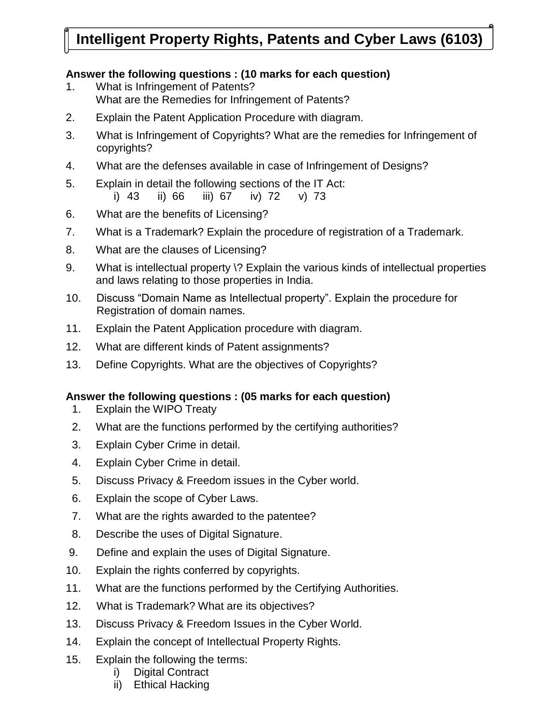## **Intelligent Property Rights, Patents and Cyber Laws (6103)**

### **Answer the following questions : (10 marks for each question)**

- 1. What is Infringement of Patents? What are the Remedies for Infringement of Patents?
- 2. Explain the Patent Application Procedure with diagram.
- 3. What is Infringement of Copyrights? What are the remedies for Infringement of copyrights?
- 4. What are the defenses available in case of Infringement of Designs?
- 5. Explain in detail the following sections of the IT Act:

i) 43 ii) 66 iii) 67 iv) 72 v) 73

- 6. What are the benefits of Licensing?
- 7. What is a Trademark? Explain the procedure of registration of a Trademark.
- 8. What are the clauses of Licensing?
- 9. What is intellectual property \? Explain the various kinds of intellectual properties and laws relating to those properties in India.
- 10. Discuss "Domain Name as Intellectual property". Explain the procedure for Registration of domain names.
- 11. Explain the Patent Application procedure with diagram.
- 12. What are different kinds of Patent assignments?
- 13. Define Copyrights. What are the objectives of Copyrights?

### **Answer the following questions : (05 marks for each question)**

- 1. Explain the WIPO Treaty
- 2. What are the functions performed by the certifying authorities?
- 3. Explain Cyber Crime in detail.
- 4. Explain Cyber Crime in detail.
- 5. Discuss Privacy & Freedom issues in the Cyber world.
- 6. Explain the scope of Cyber Laws.
- 7. What are the rights awarded to the patentee?
- 8. Describe the uses of Digital Signature.
- 9. Define and explain the uses of Digital Signature.
- 10. Explain the rights conferred by copyrights.
- 11. What are the functions performed by the Certifying Authorities.
- 12. What is Trademark? What are its objectives?
- 13. Discuss Privacy & Freedom Issues in the Cyber World.
- 14. Explain the concept of Intellectual Property Rights.
- 15. Explain the following the terms:
	- i) Digital Contract
	- ii) Ethical Hacking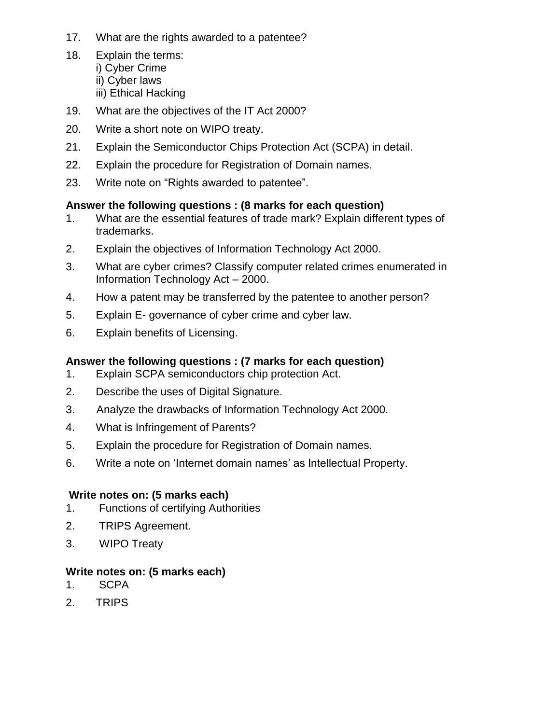- 17. What are the rights awarded to a patentee?
- 18. Explain the terms: i) Cyber Crime ii) Cyber laws iii) Ethical Hacking
- 19. What are the objectives of the IT Act 2000?
- 20. Write a short note on WIPO treaty.
- 21. Explain the Semiconductor Chips Protection Act (SCPA) in detail.
- 22. Explain the procedure for Registration of Domain names.
- 23. Write note on "Rights awarded to patentee".

### **Answer the following questions : (8 marks for each question)**

- 1. What are the essential features of trade mark? Explain different types of trademarks.
- 2. Explain the objectives of Information Technology Act 2000.
- 3. What are cyber crimes? Classify computer related crimes enumerated in Information Technology Act – 2000.
- 4. How a patent may be transferred by the patentee to another person?
- 5. Explain E- governance of cyber crime and cyber law.
- 6. Explain benefits of Licensing.

### **Answer the following questions : (7 marks for each question)**

- 1. Explain SCPA semiconductors chip protection Act.
- 2. Describe the uses of Digital Signature.
- 3. Analyze the drawbacks of Information Technology Act 2000.
- 4. What is Infringement of Parents?
- 5. Explain the procedure for Registration of Domain names.
- 6. Write a note on "Internet domain names" as Intellectual Property.

### **Write notes on: (5 marks each)**

- 1. Functions of certifying Authorities
- 2. TRIPS Agreement.
- 3. WIPO Treaty

### **Write notes on: (5 marks each)**

- 1. SCPA
- 2. TRIPS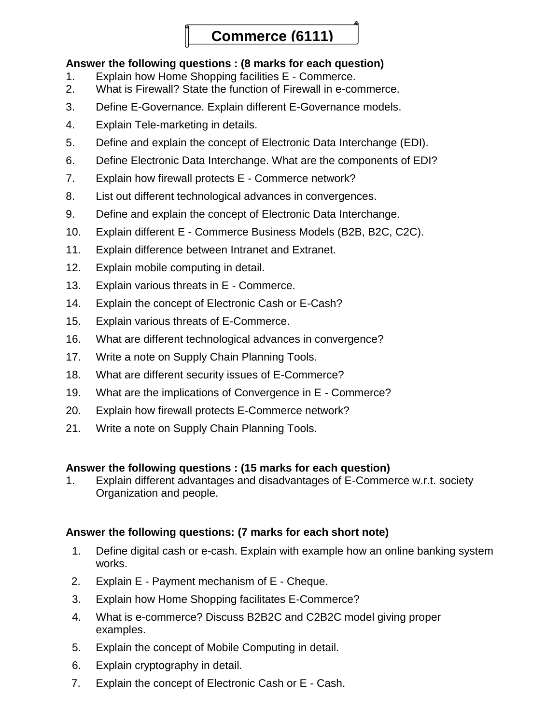## **Commerce (6111)**

### **Answer the following questions : (8 marks for each question)**

- 1. Explain how Home Shopping facilities E Commerce.
- 2. What is Firewall? State the function of Firewall in e-commerce.
- 3. Define E-Governance. Explain different E-Governance models.
- 4. Explain Tele-marketing in details.
- 5. Define and explain the concept of Electronic Data Interchange (EDI).
- 6. Define Electronic Data Interchange. What are the components of EDI?
- 7. Explain how firewall protects E Commerce network?
- 8. List out different technological advances in convergences.
- 9. Define and explain the concept of Electronic Data Interchange.
- 10. Explain different E Commerce Business Models (B2B, B2C, C2C).
- 11. Explain difference between Intranet and Extranet.
- 12. Explain mobile computing in detail.
- 13. Explain various threats in E Commerce.
- 14. Explain the concept of Electronic Cash or E-Cash?
- 15. Explain various threats of E-Commerce.
- 16. What are different technological advances in convergence?
- 17. Write a note on Supply Chain Planning Tools.
- 18. What are different security issues of E-Commerce?
- 19. What are the implications of Convergence in E Commerce?
- 20. Explain how firewall protects E-Commerce network?
- 21. Write a note on Supply Chain Planning Tools.

### **Answer the following questions : (15 marks for each question)**

1. Explain different advantages and disadvantages of E-Commerce w.r.t. society Organization and people.

### **Answer the following questions: (7 marks for each short note)**

- 1. Define digital cash or e-cash. Explain with example how an online banking system works.
- 2. Explain E Payment mechanism of E Cheque.
- 3. Explain how Home Shopping facilitates E-Commerce?
- 4. What is e-commerce? Discuss B2B2C and C2B2C model giving proper examples.
- 5. Explain the concept of Mobile Computing in detail.
- 6. Explain cryptography in detail.
- 7. Explain the concept of Electronic Cash or E Cash.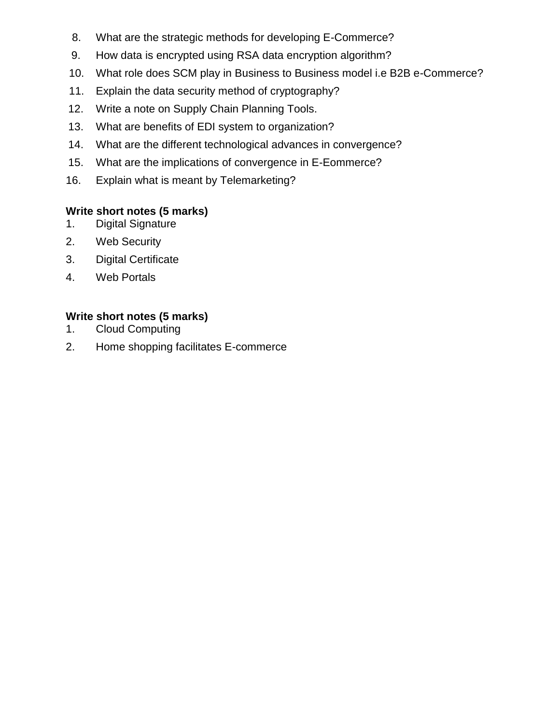- 8. What are the strategic methods for developing E-Commerce?
- 9. How data is encrypted using RSA data encryption algorithm?
- 10. What role does SCM play in Business to Business model i.e B2B e-Commerce?
- 11. Explain the data security method of cryptography?
- 12. Write a note on Supply Chain Planning Tools.
- 13. What are benefits of EDI system to organization?
- 14. What are the different technological advances in convergence?
- 15. What are the implications of convergence in E-Eommerce?
- 16. Explain what is meant by Telemarketing?

## **Write short notes (5 marks)**

- 1. Digital Signature
- 2. Web Security
- 3. Digital Certificate
- 4. Web Portals

## **Write short notes (5 marks)**

- 1. Cloud Computing
- 2. Home shopping facilitates E-commerce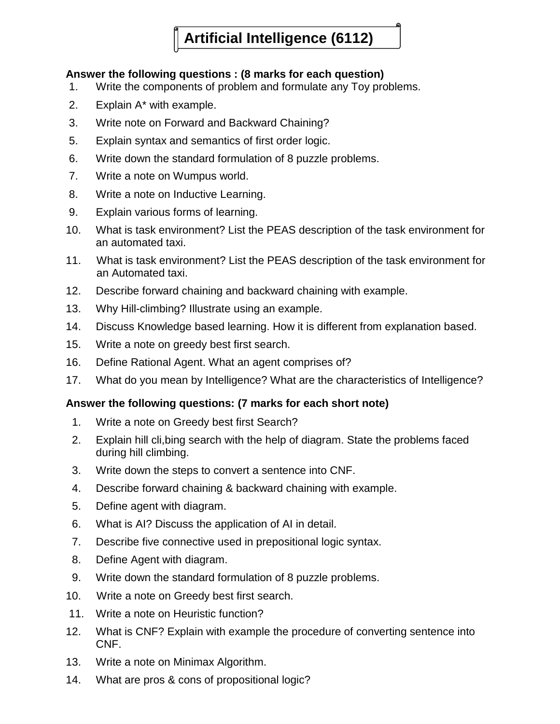# **Artificial Intelligence (6112)**

### **Answer the following questions : (8 marks for each question)**

- 1. Write the components of problem and formulate any Toy problems.
- 2. Explain A\* with example.
- 3. Write note on Forward and Backward Chaining?
- 5. Explain syntax and semantics of first order logic.
- 6. Write down the standard formulation of 8 puzzle problems.
- 7. Write a note on Wumpus world.
- 8. Write a note on Inductive Learning.
- 9. Explain various forms of learning.
- 10. What is task environment? List the PEAS description of the task environment for an automated taxi.
- 11. What is task environment? List the PEAS description of the task environment for an Automated taxi.
- 12. Describe forward chaining and backward chaining with example.
- 13. Why Hill-climbing? Illustrate using an example.
- 14. Discuss Knowledge based learning. How it is different from explanation based.
- 15. Write a note on greedy best first search.
- 16. Define Rational Agent. What an agent comprises of?
- 17. What do you mean by Intelligence? What are the characteristics of Intelligence?

### **Answer the following questions: (7 marks for each short note)**

- 1. Write a note on Greedy best first Search?
- 2. Explain hill cli,bing search with the help of diagram. State the problems faced during hill climbing.
- 3. Write down the steps to convert a sentence into CNF.
- 4. Describe forward chaining & backward chaining with example.
- 5. Define agent with diagram.
- 6. What is AI? Discuss the application of AI in detail.
- 7. Describe five connective used in prepositional logic syntax.
- 8. Define Agent with diagram.
- 9. Write down the standard formulation of 8 puzzle problems.
- 10. Write a note on Greedy best first search.
- 11. Write a note on Heuristic function?
- 12. What is CNF? Explain with example the procedure of converting sentence into CNF.
- 13. Write a note on Minimax Algorithm.
- 14. What are pros & cons of propositional logic?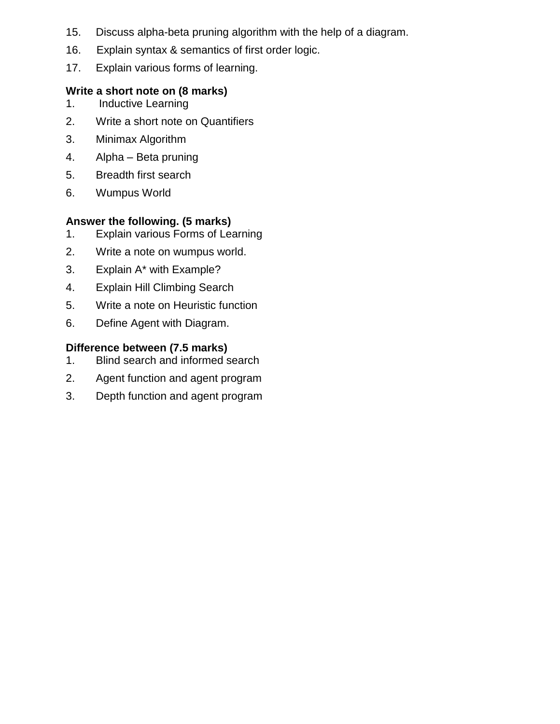- 15. Discuss alpha-beta pruning algorithm with the help of a diagram.
- 16. Explain syntax & semantics of first order logic.
- 17. Explain various forms of learning.

### **Write a short note on (8 marks)**

- 1. Inductive Learning
- 2. Write a short note on Quantifiers
- 3. Minimax Algorithm
- 4. Alpha Beta pruning
- 5. Breadth first search
- 6. Wumpus World

### **Answer the following. (5 marks)**

- 1. Explain various Forms of Learning
- 2. Write a note on wumpus world.
- 3. Explain A\* with Example?
- 4. Explain Hill Climbing Search
- 5. Write a note on Heuristic function
- 6. Define Agent with Diagram.

### **Difference between (7.5 marks)**

- 1. Blind search and informed search
- 2. Agent function and agent program
- 3. Depth function and agent program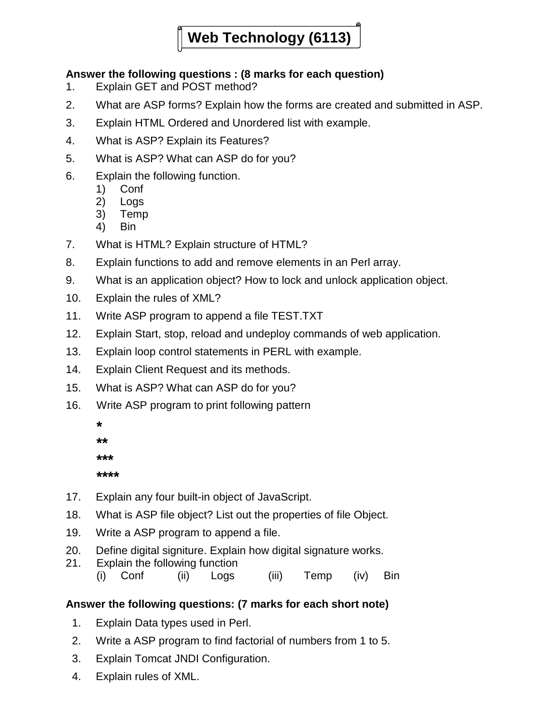# **Web Technology (6113)**

### **Answer the following questions : (8 marks for each question)**

- 1. Explain GET and POST method?
- 2. What are ASP forms? Explain how the forms are created and submitted in ASP.
- 3. Explain HTML Ordered and Unordered list with example.
- 4. What is ASP? Explain its Features?
- 5. What is ASP? What can ASP do for you?
- 6. Explain the following function.
	- 1) Conf
	- 2) Logs
	- 3) Temp
	- 4) Bin
- 7. What is HTML? Explain structure of HTML?
- 8. Explain functions to add and remove elements in an Perl array.
- 9. What is an application object? How to lock and unlock application object.
- 10. Explain the rules of XML?
- 11. Write ASP program to append a file TEST.TXT
- 12. Explain Start, stop, reload and undeploy commands of web application.
- 13. Explain loop control statements in PERL with example.
- 14. Explain Client Request and its methods.
- 15. What is ASP? What can ASP do for you?
- 16. Write ASP program to print following pattern

| ∗    |
|------|
| **   |
| ***  |
| **** |
|      |

- 17. Explain any four built-in object of JavaScript.
- 18. What is ASP file object? List out the properties of file Object.
- 19. Write a ASP program to append a file.
- 20. Define digital signiture. Explain how digital signature works.
- 21. Explain the following function
	- (i) Conf (ii) Logs (iii) Temp (iv) Bin

### **Answer the following questions: (7 marks for each short note)**

- 1. Explain Data types used in Perl.
- 2. Write a ASP program to find factorial of numbers from 1 to 5.
- 3. Explain Tomcat JNDI Configuration.
- 4. Explain rules of XML.